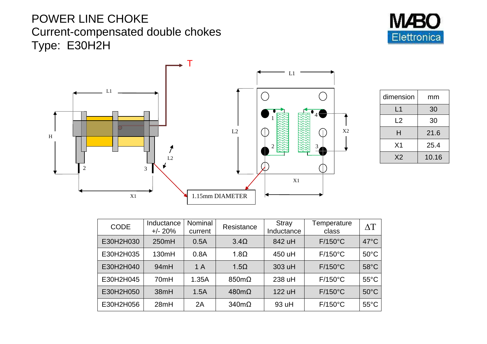## POWER LINE CHOKE Current-compensated double chokes Type: E30H2H





| dimension      | mm    |  |
|----------------|-------|--|
| L1             | 30    |  |
| L <sub>2</sub> | 30    |  |
| н              | 21.6  |  |
| X <sub>1</sub> | 25.4  |  |
| X <sub>2</sub> | 10.16 |  |

| <b>CODE</b> | Inductance<br>$+/- 20%$ | Nominal<br>current | Resistance           | <b>Stray</b><br>Inductance | Temperature<br>class | $\Delta T$     |
|-------------|-------------------------|--------------------|----------------------|----------------------------|----------------------|----------------|
| E30H2H030   | 250mH                   | 0.5A               | $3.4\Omega$          | 842 uH                     | $F/150^{\circ}$ C    | $47^{\circ}$ C |
| E30H2H035   | 130mH                   | 0.8A               | $1.8\Omega$          | 450 uH                     | $F/150^{\circ}$ C    | $50^{\circ}$ C |
| E30H2H040   | 94mH                    | 1A                 | $1.5\Omega$          | 303 uH                     | $F/150^{\circ}C$     | $58^{\circ}$ C |
| E30H2H045   | 70mH                    | 1.35A              | $850 \text{m}\Omega$ | 238 uH                     | $F/150^{\circ}$ C    | $55^{\circ}$ C |
| E30H2H050   | 38mH                    | 1.5A               | $480 \text{m}\Omega$ | 122 uH                     | $F/150^{\circ}C$     | $50^{\circ}$ C |
| E30H2H056   | 28mH                    | 2A                 | $340m\Omega$         | 93 uH                      | $F/150^{\circ}$ C    | $55^{\circ}$ C |